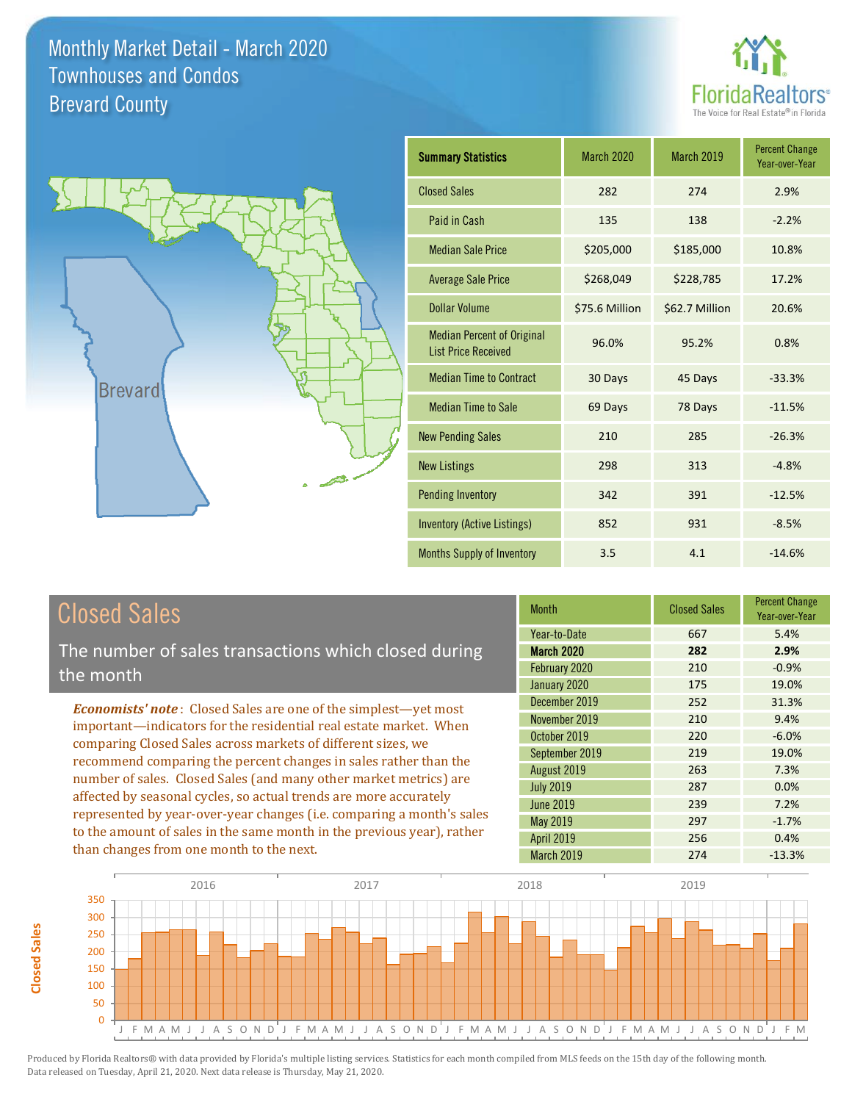



| <b>Summary Statistics</b>                                       | March 2020     | <b>March 2019</b> | <b>Percent Change</b><br>Year-over-Year |
|-----------------------------------------------------------------|----------------|-------------------|-----------------------------------------|
| <b>Closed Sales</b>                                             | 282            | 274               | 2.9%                                    |
| Paid in Cash                                                    | 135            | 138               | $-2.2%$                                 |
| <b>Median Sale Price</b>                                        | \$205,000      | \$185,000         | 10.8%                                   |
| <b>Average Sale Price</b>                                       | \$268,049      | \$228,785         | 17.2%                                   |
| Dollar Volume                                                   | \$75.6 Million | \$62.7 Million    | 20.6%                                   |
| <b>Median Percent of Original</b><br><b>List Price Received</b> | 96.0%          | 95.2%             | 0.8%                                    |
| <b>Median Time to Contract</b>                                  | 30 Days        | 45 Days           | $-33.3%$                                |
| <b>Median Time to Sale</b>                                      | 69 Days        | 78 Days           | $-11.5%$                                |
| <b>New Pending Sales</b>                                        | 210            | 285               | $-26.3%$                                |
| <b>New Listings</b>                                             | 298            | 313               | $-4.8%$                                 |
| <b>Pending Inventory</b>                                        | 342            | 391               | $-12.5%$                                |
| <b>Inventory (Active Listings)</b>                              | 852            | 931               | $-8.5%$                                 |
| Months Supply of Inventory                                      | 3.5            | 4.1               | $-14.6%$                                |

# Closed Sales

The number of sales transactions which closed during the month

*Economists' note* : Closed Sales are one of the simplest—yet most important—indicators for the residential real estate market. When comparing Closed Sales across markets of different sizes, we recommend comparing the percent changes in sales rather than the number of sales. Closed Sales (and many other market metrics) are affected by seasonal cycles, so actual trends are more accurately represented by year-over-year changes (i.e. comparing a month's sales to the amount of sales in the same month in the previous year), rather than changes from one month to the next.

| <b>Month</b>      | <b>Closed Sales</b> | <b>Percent Change</b><br>Year-over-Year |
|-------------------|---------------------|-----------------------------------------|
| Year-to-Date      | 667                 | 5.4%                                    |
| <b>March 2020</b> | 282                 | 2.9%                                    |
| February 2020     | 210                 | $-0.9%$                                 |
| January 2020      | 175                 | 19.0%                                   |
| December 2019     | 252                 | 31.3%                                   |
| November 2019     | 210                 | 9.4%                                    |
| October 2019      | 220                 | $-6.0%$                                 |
| September 2019    | 219                 | 19.0%                                   |
| August 2019       | 263                 | 7.3%                                    |
| <b>July 2019</b>  | 287                 | 0.0%                                    |
| <b>June 2019</b>  | 239                 | 7.2%                                    |
| May 2019          | 297                 | $-1.7%$                                 |
| <b>April 2019</b> | 256                 | 0.4%                                    |
| March 2019        | 274                 | $-13.3%$                                |

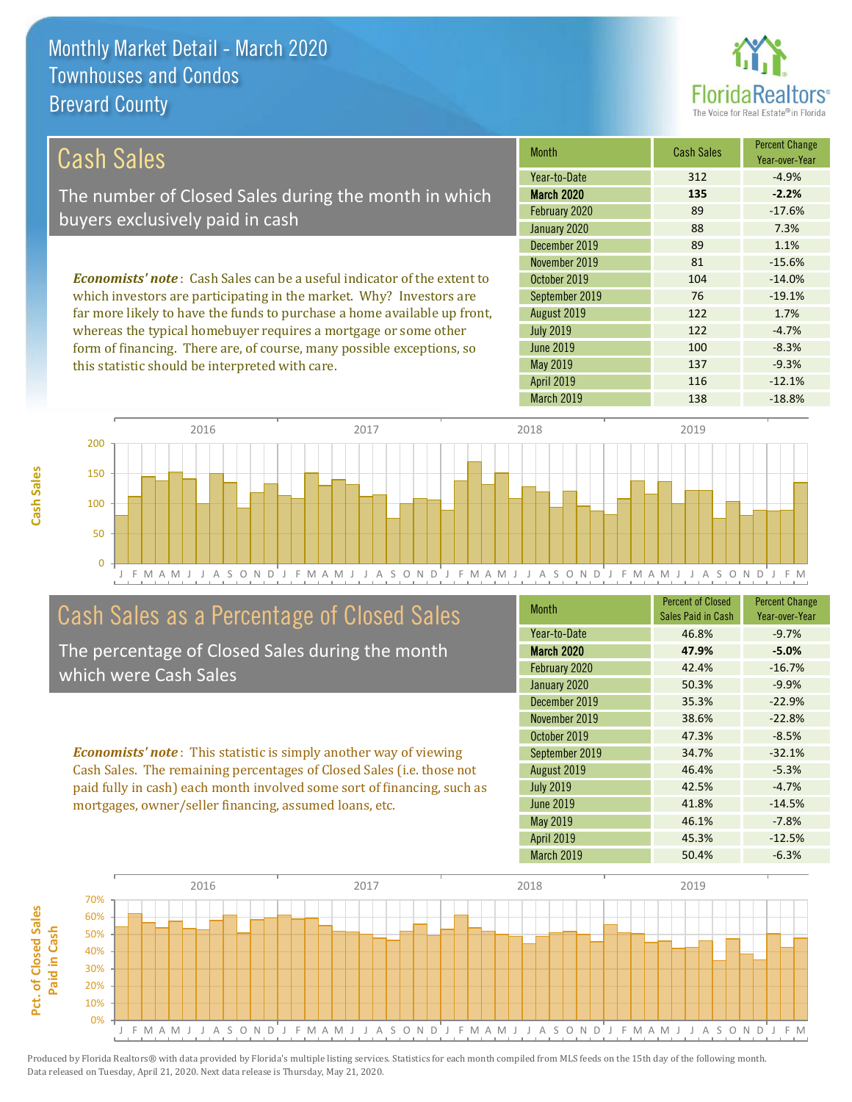this statistic should be interpreted with care.



137 -9.3%

| Cash Sales                                                                     | <b>Month</b>      | <b>Cash Sales</b> | <b>Percent Change</b><br>Year-over-Year |
|--------------------------------------------------------------------------------|-------------------|-------------------|-----------------------------------------|
|                                                                                | Year-to-Date      | 312               | $-4.9%$                                 |
| The number of Closed Sales during the month in which                           | <b>March 2020</b> | 135               | $-2.2%$                                 |
| buyers exclusively paid in cash                                                | February 2020     | 89                | $-17.6%$                                |
|                                                                                | January 2020      | 88                | 7.3%                                    |
|                                                                                | December 2019     | 89                | 1.1%                                    |
|                                                                                | November 2019     | 81                | $-15.6%$                                |
| <b>Economists' note:</b> Cash Sales can be a useful indicator of the extent to | October 2019      | 104               | $-14.0%$                                |
| which investors are participating in the market. Why? Investors are            | September 2019    | 76                | $-19.1%$                                |
| far more likely to have the funds to purchase a home available up front,       | August 2019       | 122               | 1.7%                                    |
| whereas the typical homebuyer requires a mortgage or some other                | <b>July 2019</b>  | 122               | $-4.7%$                                 |
| form of financing. There are, of course, many possible exceptions, so          | June 2019         | 100               | $-8.3%$                                 |

J F M A M J J A S O N D J F M A M J J A S O N D J F M A M J J A S O N D J F M A M J J A S O N D J F M 0 50 100 150 200 2016 2017 2018 2019

## Cash Sales as a Percentage of Closed Sales

The percentage of Closed Sales during the month which were Cash Sales

*Economists' note* : This statistic is simply another way of viewing Cash Sales. The remaining percentages of Closed Sales (i.e. those not paid fully in cash) each month involved some sort of financing, such as mortgages, owner/seller financing, assumed loans, etc.

| <b>Month</b>      | <b>Percent of Closed</b><br>Sales Paid in Cash | <b>Percent Change</b><br>Year-over-Year |
|-------------------|------------------------------------------------|-----------------------------------------|
| Year-to-Date      | 46.8%                                          | $-9.7%$                                 |
| <b>March 2020</b> | 47.9%                                          | $-5.0%$                                 |
| February 2020     | 42.4%                                          | $-16.7%$                                |
| January 2020      | 50.3%                                          | $-9.9%$                                 |
| December 2019     | 35.3%                                          | $-22.9%$                                |
| November 2019     | 38.6%                                          | $-22.8%$                                |
| October 2019      | 47.3%                                          | $-8.5%$                                 |
| September 2019    | 34.7%                                          | $-32.1%$                                |
| August 2019       | 46.4%                                          | $-5.3%$                                 |
| <b>July 2019</b>  | 42.5%                                          | $-4.7%$                                 |
| June 2019         | 41.8%                                          | $-14.5%$                                |
| May 2019          | 46.1%                                          | $-7.8%$                                 |
| <b>April 2019</b> | 45.3%                                          | $-12.5%$                                |
| <b>March 2019</b> | 50.4%                                          | $-6.3%$                                 |

March 2019 138 -18.8%

April 2019 116 116 -12.1%

May 2019

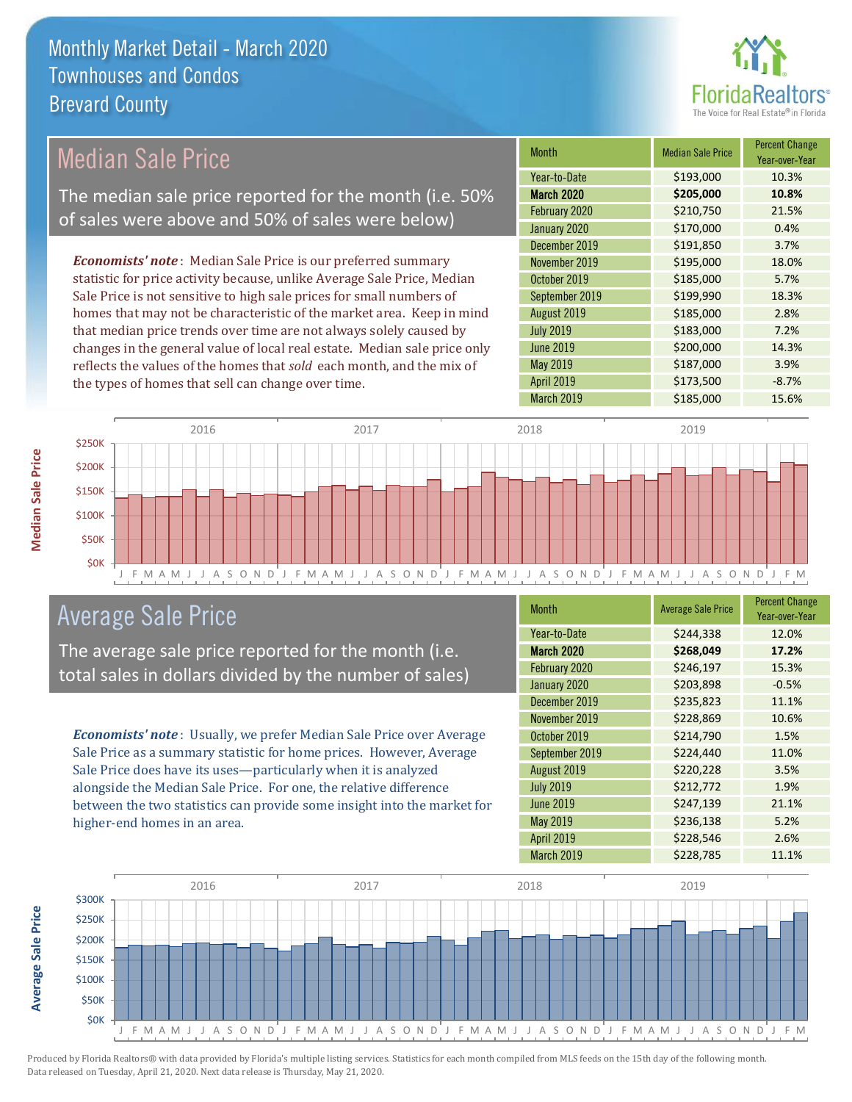

#### Month Median Sale Price Percent Change Year-over-Year March 2020 **\$205,000 10.8%** Year-to-Date \$193,000 10.3% August 2019 **\$185,000** 2.8% February 2020 \$210,750 21.5% January 2020 **\$170,000** 0.4% October 2019 **\$185,000** 5.7% September 2019 **\$199,990** 18.3% December 2019 **\$191,850** 3.7% November 2019 **\$195,000** 18.0% July 2019 **\$183,000** 7.2% June 2019 **\$200,000 14.3%** May 2019 **6187,000** \$187,000 3.9% April 2019 **\$173,500** -8.7% March 2019 **\$185,000** 15.6% *Economists' note* : Median Sale Price is our preferred summary statistic for price activity because, unlike Average Sale Price, Median Sale Price is not sensitive to high sale prices for small numbers of homes that may not be characteristic of the market area. Keep in mind that median price trends over time are not always solely caused by changes in the general value of local real estate. Median sale price only reflects the values of the homes that *sold* each month, and the mix of the types of homes that sell can change over time. \$250K 2016 2017 2018 2019 Median Sale Price The median sale price reported for the month (i.e. 50% of sales were above and 50% of sales were below)



### Average Sale Price

The average sale price reported for the month (i.e. total sales in dollars divided by the number of sales)

*Economists' note* : Usually, we prefer Median Sale Price over Average Sale Price as a summary statistic for home prices. However, Average Sale Price does have its uses—particularly when it is analyzed alongside the Median Sale Price. For one, the relative difference between the two statistics can provide some insight into the market for higher-end homes in an area.

| Month             | <b>Average Sale Price</b> | <b>Percent Change</b><br>Year-over-Year |
|-------------------|---------------------------|-----------------------------------------|
| Year-to-Date      | \$244,338                 | 12.0%                                   |
| <b>March 2020</b> | \$268,049                 | 17.2%                                   |
| February 2020     | \$246,197                 | 15.3%                                   |
| January 2020      | \$203,898                 | $-0.5%$                                 |
| December 2019     | \$235,823                 | 11.1%                                   |
| November 2019     | \$228,869                 | 10.6%                                   |
| October 2019      | \$214,790                 | 1.5%                                    |
| September 2019    | \$224,440                 | 11.0%                                   |
| August 2019       | \$220,228                 | 3.5%                                    |
| <b>July 2019</b>  | \$212,772                 | 1.9%                                    |
| <b>June 2019</b>  | \$247,139                 | 21.1%                                   |
| May 2019          | \$236,138                 | 5.2%                                    |
| <b>April 2019</b> | \$228,546                 | 2.6%                                    |
| March 2019        | \$228,785                 | 11.1%                                   |



Produced by Florida Realtors® with data provided by Florida's multiple listing services. Statistics for each month compiled from MLS feeds on the 15th day of the following month. Data released on Tuesday, April 21, 2020. Next data release is Thursday, May 21, 2020.

**Average Sale Price**

Average Sale Price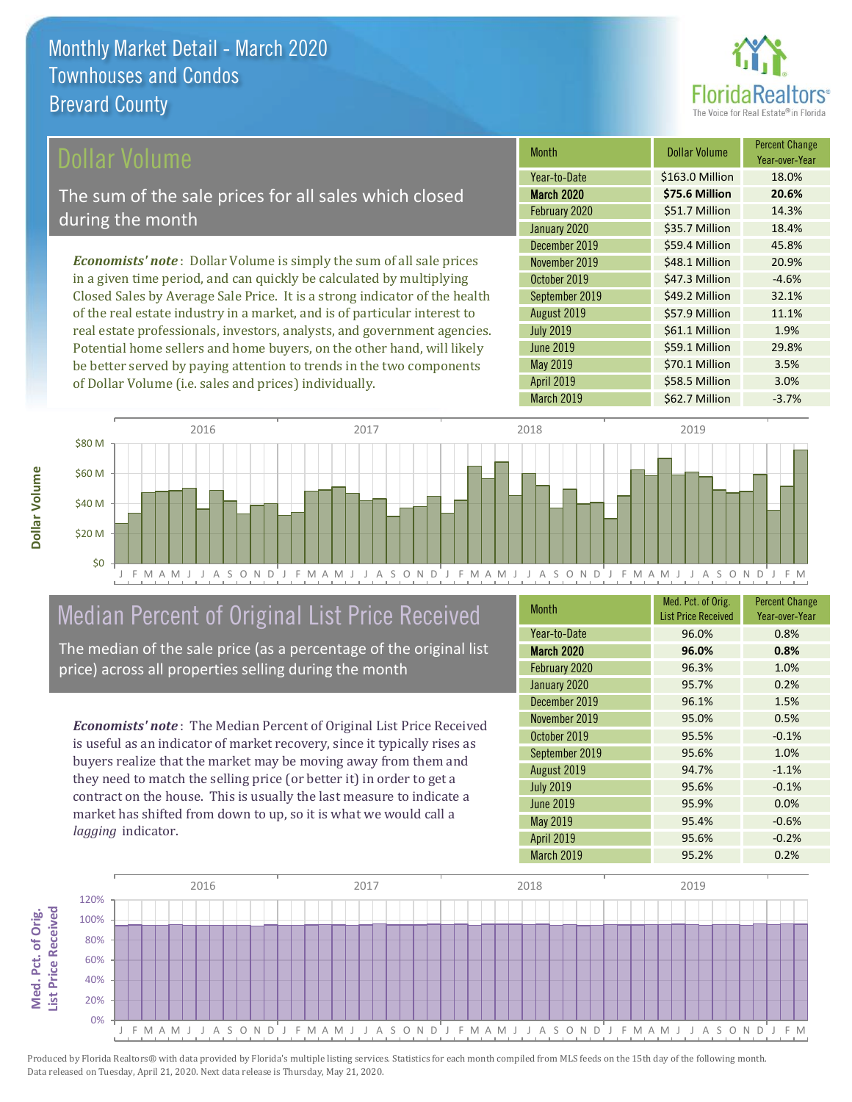

### ollar Volume

The sum of the sale prices for all sales which closed during the month

*Economists' note* : Dollar Volume is simply the sum of all sale prices in a given time period, and can quickly be calculated by multiplying Closed Sales by Average Sale Price. It is a strong indicator of the health of the real estate industry in a market, and is of particular interest to real estate professionals, investors, analysts, and government agencies. Potential home sellers and home buyers, on the other hand, will likely be better served by paying attention to trends in the two components of Dollar Volume (i.e. sales and prices) individually.

| <b>Month</b>      | Dollar Volume   | <b>Percent Change</b><br>Year-over-Year |
|-------------------|-----------------|-----------------------------------------|
| Year-to-Date      | \$163.0 Million | 18.0%                                   |
| <b>March 2020</b> | \$75.6 Million  | 20.6%                                   |
| February 2020     | \$51.7 Million  | 14.3%                                   |
| January 2020      | \$35.7 Million  | 18.4%                                   |
| December 2019     | \$59.4 Million  | 45.8%                                   |
| November 2019     | \$48.1 Million  | 20.9%                                   |
| October 2019      | \$47.3 Million  | $-4.6%$                                 |
| September 2019    | \$49.2 Million  | 32.1%                                   |
| August 2019       | \$57.9 Million  | 11.1%                                   |
| <b>July 2019</b>  | \$61.1 Million  | 1.9%                                    |
| <b>June 2019</b>  | \$59.1 Million  | 29.8%                                   |
| May 2019          | \$70.1 Million  | 3.5%                                    |
| <b>April 2019</b> | \$58.5 Million  | 3.0%                                    |
| <b>March 2019</b> | \$62.7 Million  | $-3.7%$                                 |



# Median Percent of Original List Price Received

The median of the sale price (as a percentage of the original list price) across all properties selling during the month

*Economists' note* : The Median Percent of Original List Price Received is useful as an indicator of market recovery, since it typically rises as buyers realize that the market may be moving away from them and they need to match the selling price (or better it) in order to get a contract on the house. This is usually the last measure to indicate a market has shifted from down to up, so it is what we would call a *lagging* indicator.

| <b>Month</b>      | Med. Pct. of Orig.<br><b>List Price Received</b> | <b>Percent Change</b><br>Year-over-Year |
|-------------------|--------------------------------------------------|-----------------------------------------|
| Year-to-Date      | 96.0%                                            | 0.8%                                    |
| <b>March 2020</b> | 96.0%                                            | 0.8%                                    |
| February 2020     | 96.3%                                            | 1.0%                                    |
| January 2020      | 95.7%                                            | 0.2%                                    |
| December 2019     | 96.1%                                            | 1.5%                                    |
| November 2019     | 95.0%                                            | 0.5%                                    |
| October 2019      | 95.5%                                            | $-0.1%$                                 |
| September 2019    | 95.6%                                            | 1.0%                                    |
| August 2019       | 94.7%                                            | $-1.1%$                                 |
| <b>July 2019</b>  | 95.6%                                            | $-0.1%$                                 |
| <b>June 2019</b>  | 95.9%                                            | 0.0%                                    |
| May 2019          | 95.4%                                            | $-0.6%$                                 |
| <b>April 2019</b> | 95.6%                                            | $-0.2%$                                 |
| March 2019        | 95.2%                                            | 0.2%                                    |

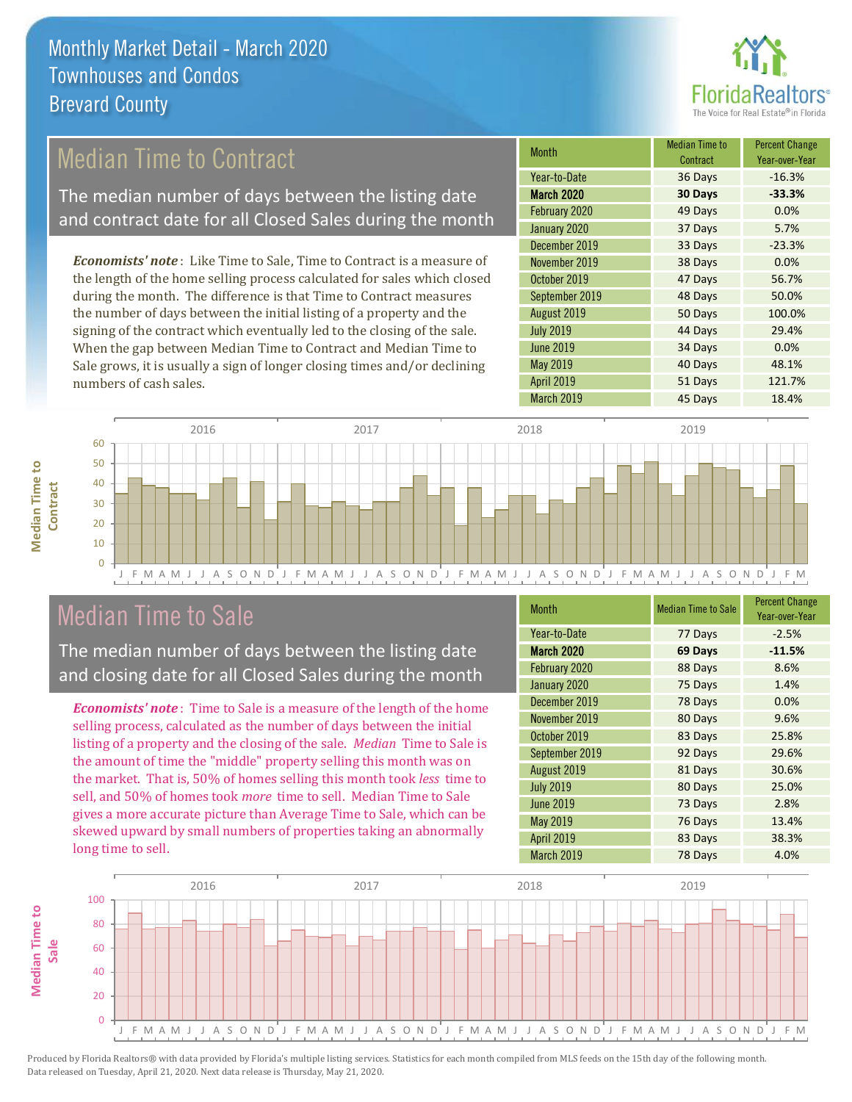

### Median Time to Contract

The median number of days between the listing date and contract date for all Closed Sales during the month

*Economists' note* : Like Time to Sale, Time to Contract is a measure of the length of the home selling process calculated for sales which closed during the month. The difference is that Time to Contract measures the number of days between the initial listing of a property and the signing of the contract which eventually led to the closing of the sale. When the gap between Median Time to Contract and Median Time to Sale grows, it is usually a sign of longer closing times and/or declining numbers of cash sales.

| Month             | Median Time to<br>Contract | <b>Percent Change</b><br>Year-over-Year |
|-------------------|----------------------------|-----------------------------------------|
| Year-to-Date      | 36 Days                    | $-16.3%$                                |
| <b>March 2020</b> | 30 Days                    | $-33.3%$                                |
| February 2020     | 49 Days                    | 0.0%                                    |
| January 2020      | 37 Days                    | 5.7%                                    |
| December 2019     | 33 Days                    | $-23.3%$                                |
| November 2019     | 38 Days                    | 0.0%                                    |
| October 2019      | 47 Days                    | 56.7%                                   |
| September 2019    | 48 Days                    | 50.0%                                   |
| August 2019       | 50 Days                    | 100.0%                                  |
| <b>July 2019</b>  | 44 Days                    | 29.4%                                   |
| <b>June 2019</b>  | 34 Days                    | 0.0%                                    |
| <b>May 2019</b>   | 40 Days                    | 48.1%                                   |
| April 2019        | 51 Days                    | 121.7%                                  |
| March 2019        | 45 Days                    | 18.4%                                   |



### Median Time to Sale

**Median Time to** 

**Median Time to** 

The median number of days between the listing date and closing date for all Closed Sales during the month

*Economists' note* : Time to Sale is a measure of the length of the home selling process, calculated as the number of days between the initial listing of a property and the closing of the sale. *Median* Time to Sale is the amount of time the "middle" property selling this month was on the market. That is, 50% of homes selling this month took *less* time to sell, and 50% of homes took *more* time to sell. Median Time to Sale gives a more accurate picture than Average Time to Sale, which can be skewed upward by small numbers of properties taking an abnormally long time to sell.

| Month             | <b>Median Time to Sale</b> | <b>Percent Change</b><br>Year-over-Year |
|-------------------|----------------------------|-----------------------------------------|
| Year-to-Date      | 77 Days                    | $-2.5%$                                 |
| <b>March 2020</b> | 69 Days                    | $-11.5%$                                |
| February 2020     | 88 Days                    | 8.6%                                    |
| January 2020      | 75 Days                    | 1.4%                                    |
| December 2019     | 78 Days                    | 0.0%                                    |
| November 2019     | 80 Days                    | 9.6%                                    |
| October 2019      | 83 Days                    | 25.8%                                   |
| September 2019    | 92 Days                    | 29.6%                                   |
| August 2019       | 81 Days                    | 30.6%                                   |
| <b>July 2019</b>  | 80 Days                    | 25.0%                                   |
| <b>June 2019</b>  | 73 Days                    | 2.8%                                    |
| May 2019          | 76 Days                    | 13.4%                                   |
| April 2019        | 83 Days                    | 38.3%                                   |
| March 2019        | 78 Days                    | 4.0%                                    |

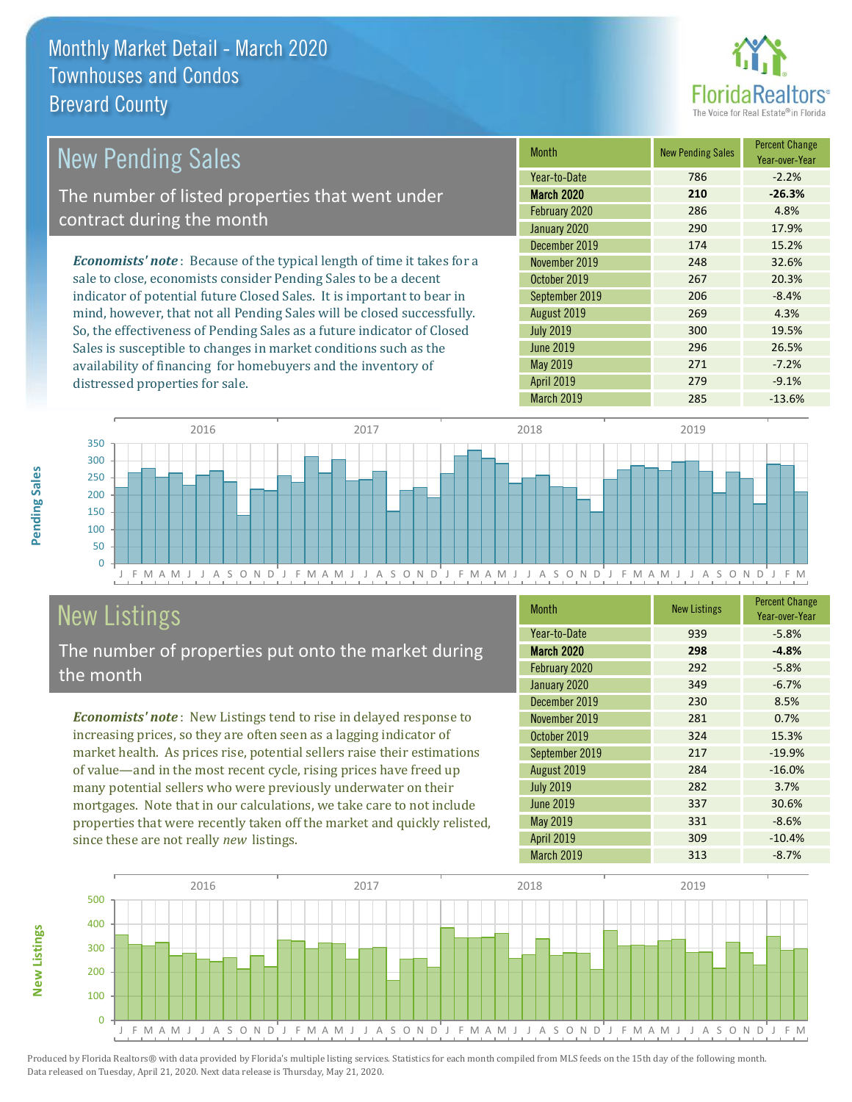

| New Pending Sales                                                              | <b>Month</b>     | <b>New Pending Sales</b> | <b>Percent Change</b><br>Year-over-Year |
|--------------------------------------------------------------------------------|------------------|--------------------------|-----------------------------------------|
|                                                                                | Year-to-Date     | 786                      | $-2.2%$                                 |
| The number of listed properties that went under                                | March 2020       | 210                      | $-26.3%$                                |
| contract during the month                                                      | February 2020    | 286                      | 4.8%                                    |
|                                                                                | January 2020     | 290                      | 17.9%                                   |
|                                                                                | December 2019    | 174                      | 15.2%                                   |
| <b>Economists' note</b> : Because of the typical length of time it takes for a | November 2019    | 248                      | 32.6%                                   |
| sale to close, economists consider Pending Sales to be a decent                | October 2019     | 267                      | 20.3%                                   |
| indicator of potential future Closed Sales. It is important to bear in         | September 2019   | 206                      | $-8.4%$                                 |
| mind, however, that not all Pending Sales will be closed successfully.         | August 2019      | 269                      | 4.3%                                    |
| So, the effectiveness of Pending Sales as a future indicator of Closed         | <b>July 2019</b> | 300                      | 19.5%                                   |
| Sales is susceptible to changes in market conditions such as the               | June 2019        | 296                      | 26.5%                                   |



# New Listings

distressed properties for sale.

The number of properties put onto the market during the month

availability of financing for homebuyers and the inventory of

*Economists' note* : New Listings tend to rise in delayed response to increasing prices, so they are often seen as a lagging indicator of market health. As prices rise, potential sellers raise their estimations of value—and in the most recent cycle, rising prices have freed up many potential sellers who were previously underwater on their mortgages. Note that in our calculations, we take care to not include properties that were recently taken off the market and quickly relisted, since these are not really *new* listings.

| <b>Month</b>      | <b>New Listings</b> | <b>Percent Change</b><br>Year-over-Year |
|-------------------|---------------------|-----------------------------------------|
| Year-to-Date      | 939                 | $-5.8%$                                 |
| <b>March 2020</b> | 298                 | $-4.8%$                                 |
| February 2020     | 292                 | $-5.8%$                                 |
| January 2020      | 349                 | $-6.7%$                                 |
| December 2019     | 230                 | 8.5%                                    |
| November 2019     | 281                 | 0.7%                                    |
| October 2019      | 324                 | 15.3%                                   |
| September 2019    | 217                 | $-19.9%$                                |
| August 2019       | 284                 | $-16.0%$                                |
| <b>July 2019</b>  | 282                 | 3.7%                                    |
| <b>June 2019</b>  | 337                 | 30.6%                                   |
| May 2019          | 331                 | $-8.6%$                                 |
| April 2019        | 309                 | $-10.4%$                                |
| March 2019        | 313                 | $-8.7%$                                 |

May 2019 271 -7.2% April 2019 **279** 279 -9.1% March 2019 **285** -13.6%



Produced by Florida Realtors® with data provided by Florida's multiple listing services. Statistics for each month compiled from MLS feeds on the 15th day of the following month. Data released on Tuesday, April 21, 2020. Next data release is Thursday, May 21, 2020.

**New Listings**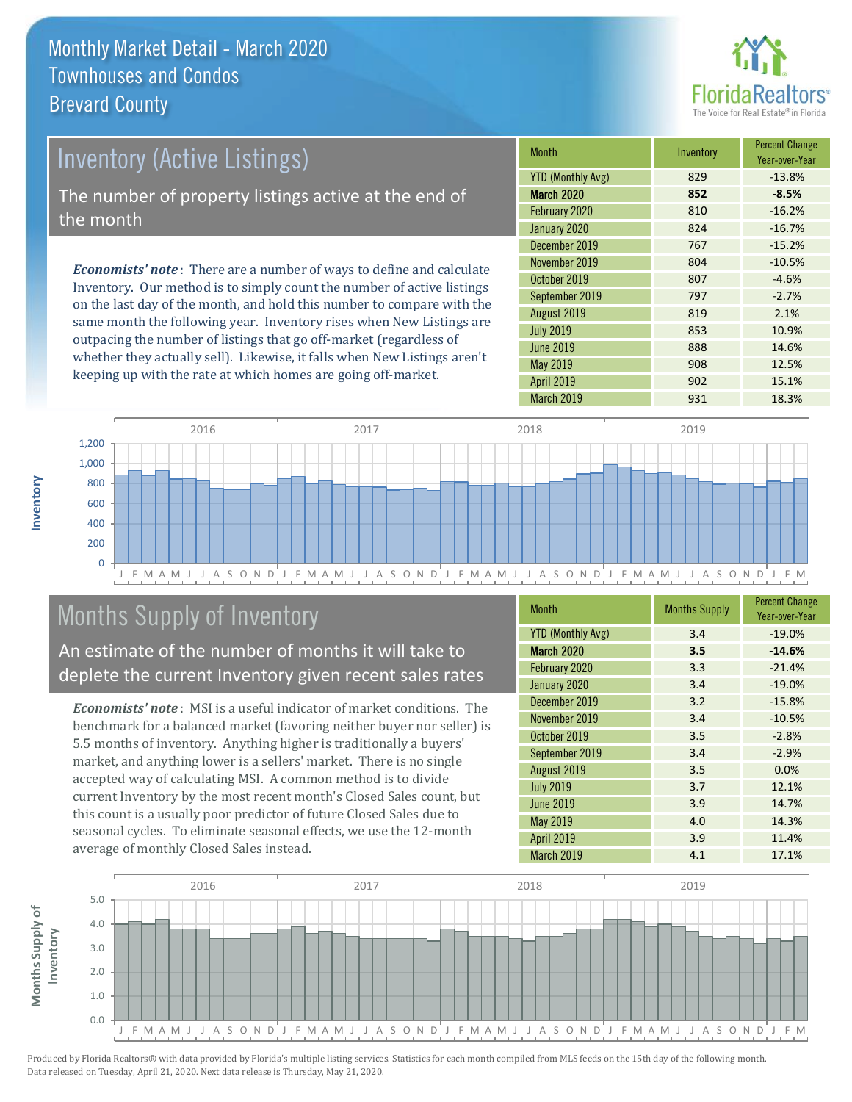

# *Economists' note* : There are a number of ways to define and calculate Inventory (Active Listings) The number of property listings active at the end of the month

Inventory. Our method is to simply count the number of active listings on the last day of the month, and hold this number to compare with the same month the following year. Inventory rises when New Listings are outpacing the number of listings that go off-market (regardless of whether they actually sell). Likewise, it falls when New Listings aren't keeping up with the rate at which homes are going off-market.

| <b>Month</b>             | Inventory | <b>Percent Change</b><br>Year-over-Year |
|--------------------------|-----------|-----------------------------------------|
| <b>YTD (Monthly Avg)</b> | 829       | $-13.8%$                                |
| March 2020               | 852       | $-8.5%$                                 |
| February 2020            | 810       | $-16.2%$                                |
| January 2020             | 824       | $-16.7%$                                |
| December 2019            | 767       | $-15.2%$                                |
| November 2019            | 804       | $-10.5%$                                |
| October 2019             | 807       | $-4.6%$                                 |
| September 2019           | 797       | $-2.7%$                                 |
| August 2019              | 819       | 2.1%                                    |
| <b>July 2019</b>         | 853       | 10.9%                                   |
| <b>June 2019</b>         | 888       | 14.6%                                   |
| May 2019                 | 908       | 12.5%                                   |
| <b>April 2019</b>        | 902       | 15.1%                                   |
| March 2019               | 931       | 18.3%                                   |



# Months Supply of Inventory

An estimate of the number of months it will take to deplete the current Inventory given recent sales rates

*Economists' note* : MSI is a useful indicator of market conditions. The benchmark for a balanced market (favoring neither buyer nor seller) is 5.5 months of inventory. Anything higher is traditionally a buyers' market, and anything lower is a sellers' market. There is no single accepted way of calculating MSI. A common method is to divide current Inventory by the most recent month's Closed Sales count, but this count is a usually poor predictor of future Closed Sales due to seasonal cycles. To eliminate seasonal effects, we use the 12-month average of monthly Closed Sales instead.

| <b>Month</b>             | <b>Months Supply</b> | <b>Percent Change</b><br>Year-over-Year |
|--------------------------|----------------------|-----------------------------------------|
| <b>YTD (Monthly Avg)</b> | 3.4                  | $-19.0%$                                |
| March 2020               | 3.5                  | $-14.6%$                                |
| February 2020            | 3.3                  | $-21.4%$                                |
| January 2020             | 3.4                  | $-19.0%$                                |
| December 2019            | 3.2                  | $-15.8%$                                |
| November 2019            | 3.4                  | $-10.5%$                                |
| October 2019             | 3.5                  | $-2.8%$                                 |
| September 2019           | 3.4                  | $-2.9%$                                 |
| August 2019              | 3.5                  | 0.0%                                    |
| <b>July 2019</b>         | 3.7                  | 12.1%                                   |
| <b>June 2019</b>         | 3.9                  | 14.7%                                   |
| May 2019                 | 4.0                  | 14.3%                                   |
| <b>April 2019</b>        | 3.9                  | 11.4%                                   |
| <b>March 2019</b>        | 4.1                  | 17.1%                                   |



**Inventory**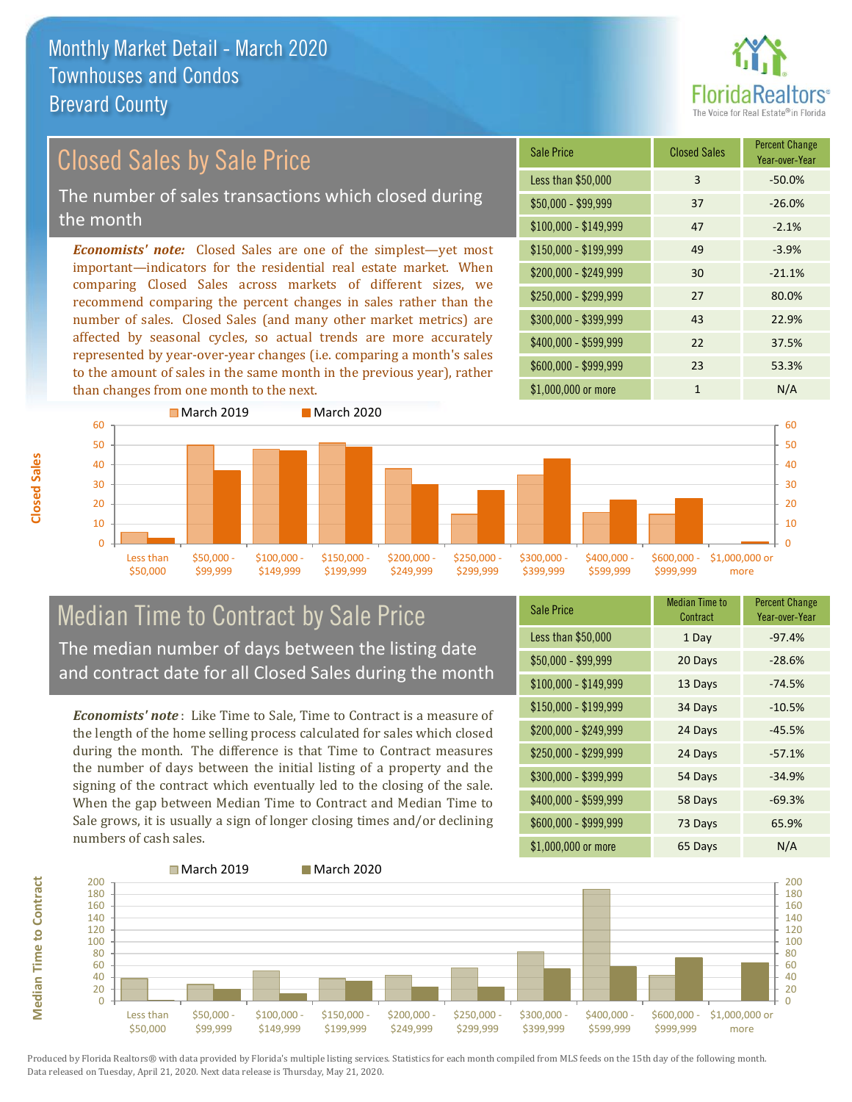

#### *Economists' note:* Closed Sales are one of the simplest—yet most important—indicators for the residential real estate market. When comparing Closed Sales across markets of different sizes, we recommend comparing the percent changes in sales rather than the Closed Sales by Sale Price The number of sales transactions which closed during the month

number of sales. Closed Sales (and many other market metrics) are affected by seasonal cycles, so actual trends are more accurately represented by year-over-year changes (i.e. comparing a month's sales to the amount of sales in the same month in the previous year), rather than changes from one month to the next.





#### Median Time to Contract by Sale Price The median number of days between the listing date and contract date for all Closed Sales during the month

*Economists' note* : Like Time to Sale, Time to Contract is a measure of the length of the home selling process calculated for sales which closed during the month. The difference is that Time to Contract measures the number of days between the initial listing of a property and the signing of the contract which eventually led to the closing of the sale. When the gap between Median Time to Contract and Median Time to Sale grows, it is usually a sign of longer closing times and/or declining numbers of cash sales.

| <b>Sale Price</b>     | Median Time to<br>Contract | <b>Percent Change</b><br>Year-over-Year |
|-----------------------|----------------------------|-----------------------------------------|
| Less than \$50,000    | 1 Day                      | $-97.4%$                                |
| $$50,000 - $99,999$   | 20 Days                    | $-28.6%$                                |
| $$100,000 - $149,999$ | 13 Days                    | $-74.5%$                                |
| $$150,000 - $199,999$ | 34 Days                    | $-10.5%$                                |
| \$200,000 - \$249,999 | 24 Days                    | $-45.5%$                                |
| \$250,000 - \$299,999 | 24 Days                    | $-57.1%$                                |
| \$300,000 - \$399,999 | 54 Days                    | $-34.9%$                                |
| \$400,000 - \$599,999 | 58 Days                    | $-69.3%$                                |
| \$600,000 - \$999,999 | 73 Days                    | 65.9%                                   |
| \$1,000,000 or more   | 65 Days                    | N/A                                     |



Produced by Florida Realtors® with data provided by Florida's multiple listing services. Statistics for each month compiled from MLS feeds on the 15th day of the following month. Data released on Tuesday, April 21, 2020. Next data release is Thursday, May 21, 2020.

**Median Time to Contract**

**Median Time to Contract**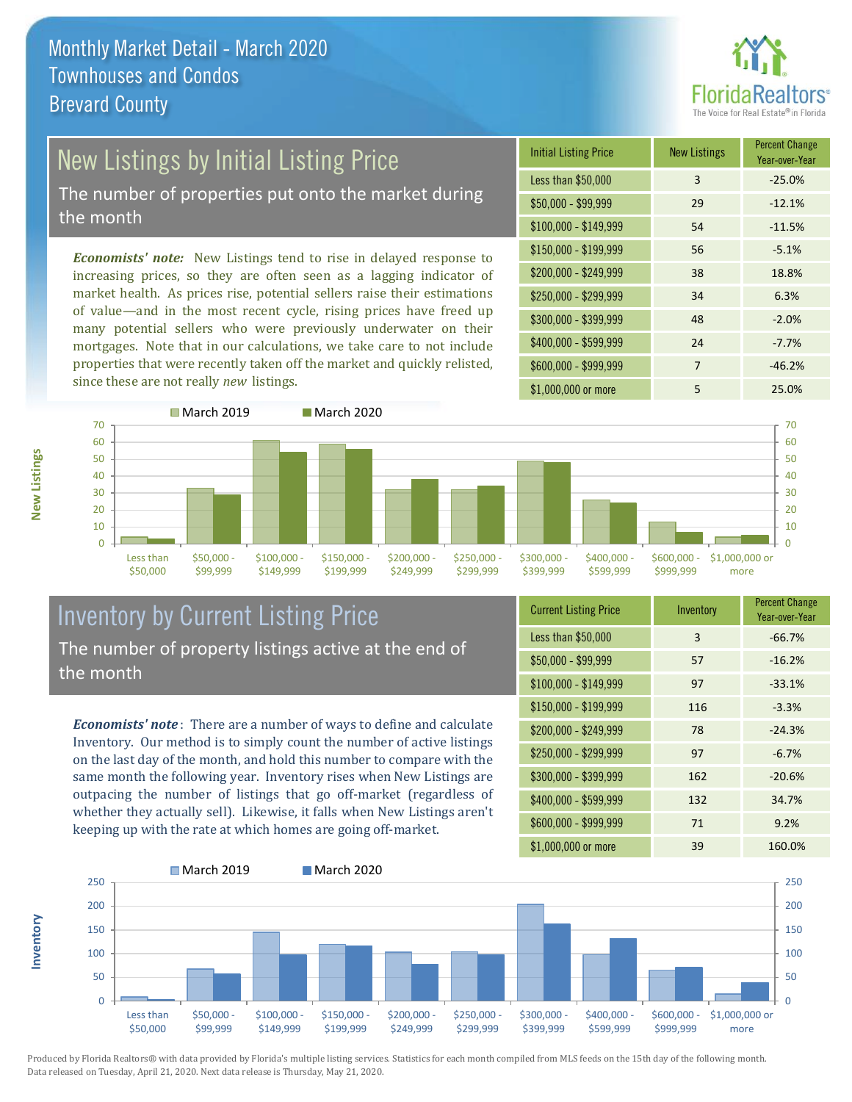

# New Listings by Initial Listing Price

The number of properties put onto the market during the month

*Economists' note:* New Listings tend to rise in delayed response to increasing prices, so they are often seen as a lagging indicator of market health. As prices rise, potential sellers raise their estimations of value—and in the most recent cycle, rising prices have freed up many potential sellers who were previously underwater on their mortgages. Note that in our calculations, we take care to not include properties that were recently taken off the market and quickly relisted, since these are not really *new* listings.





#### Inventory by Current Listing Price The number of property listings active at the end of the month

*Economists' note* : There are a number of ways to define and calculate Inventory. Our method is to simply count the number of active listings on the last day of the month, and hold this number to compare with the same month the following year. Inventory rises when New Listings are outpacing the number of listings that go off-market (regardless of whether they actually sell). Likewise, it falls when New Listings aren't keeping up with the rate at which homes are going off-market.

| <b>Current Listing Price</b> | Inventory | <b>Percent Change</b><br>Year-over-Year |
|------------------------------|-----------|-----------------------------------------|
| Less than \$50,000           | 3         | $-66.7%$                                |
| $$50,000 - $99,999$          | 57        | $-16.2%$                                |
| $$100,000 - $149,999$        | 97        | $-33.1%$                                |
| $$150,000 - $199,999$        | 116       | $-3.3%$                                 |
| \$200,000 - \$249,999        | 78        | $-24.3%$                                |
| \$250,000 - \$299,999        | 97        | $-6.7%$                                 |
| \$300,000 - \$399,999        | 162       | $-20.6%$                                |
| \$400,000 - \$599,999        | 132       | 34.7%                                   |
| \$600,000 - \$999,999        | 71        | 9.2%                                    |
| \$1,000,000 or more          | 39        | 160.0%                                  |



Produced by Florida Realtors® with data provided by Florida's multiple listing services. Statistics for each month compiled from MLS feeds on the 15th day of the following month. Data released on Tuesday, April 21, 2020. Next data release is Thursday, May 21, 2020.

**Inventory**